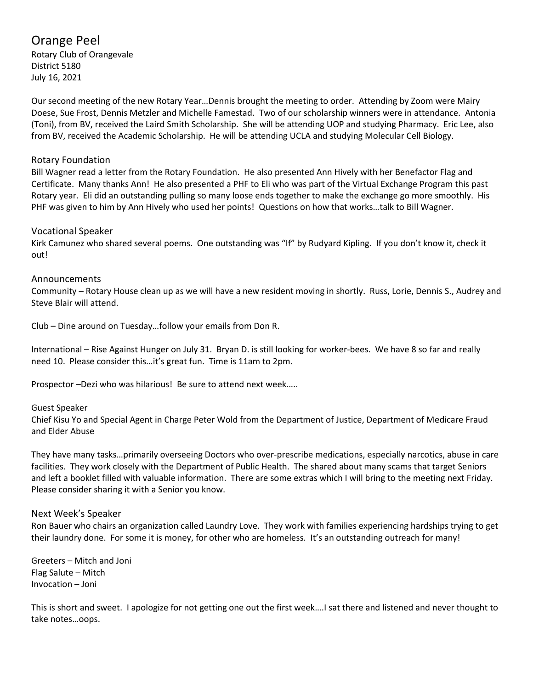# Orange Peel

Rotary Club of Orangevale District 5180 July 16, 2021

Our second meeting of the new Rotary Year…Dennis brought the meeting to order. Attending by Zoom were Mairy Doese, Sue Frost, Dennis Metzler and Michelle Famestad. Two of our scholarship winners were in attendance. Antonia (Toni), from BV, received the Laird Smith Scholarship. She will be attending UOP and studying Pharmacy. Eric Lee, also from BV, received the Academic Scholarship. He will be attending UCLA and studying Molecular Cell Biology.

# Rotary Foundation

Bill Wagner read a letter from the Rotary Foundation. He also presented Ann Hively with her Benefactor Flag and Certificate. Many thanks Ann! He also presented a PHF to Eli who was part of the Virtual Exchange Program this past Rotary year. Eli did an outstanding pulling so many loose ends together to make the exchange go more smoothly. His PHF was given to him by Ann Hively who used her points! Questions on how that works…talk to Bill Wagner.

## Vocational Speaker

Kirk Camunez who shared several poems. One outstanding was "If" by Rudyard Kipling. If you don't know it, check it out!

# Announcements

Community – Rotary House clean up as we will have a new resident moving in shortly. Russ, Lorie, Dennis S., Audrey and Steve Blair will attend.

Club – Dine around on Tuesday…follow your emails from Don R.

International – Rise Against Hunger on July 31. Bryan D. is still looking for worker-bees. We have 8 so far and really need 10. Please consider this…it's great fun. Time is 11am to 2pm.

Prospector –Dezi who was hilarious! Be sure to attend next week…..

## Guest Speaker

Chief Kisu Yo and Special Agent in Charge Peter Wold from the Department of Justice, Department of Medicare Fraud and Elder Abuse

They have many tasks…primarily overseeing Doctors who over-prescribe medications, especially narcotics, abuse in care facilities. They work closely with the Department of Public Health. The shared about many scams that target Seniors and left a booklet filled with valuable information. There are some extras which I will bring to the meeting next Friday. Please consider sharing it with a Senior you know.

## Next Week's Speaker

Ron Bauer who chairs an organization called Laundry Love. They work with families experiencing hardships trying to get their laundry done. For some it is money, for other who are homeless. It's an outstanding outreach for many!

Greeters – Mitch and Joni Flag Salute – Mitch Invocation – Joni

This is short and sweet. I apologize for not getting one out the first week….I sat there and listened and never thought to take notes…oops.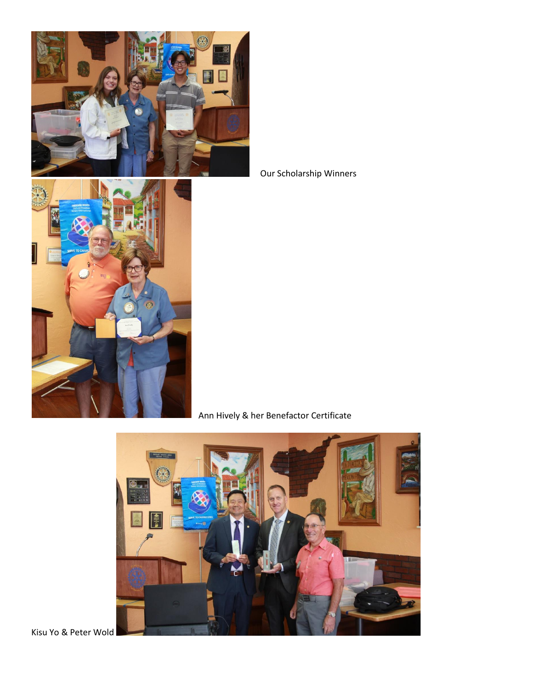

Our Scholarship Winners



Ann Hively & her Benefactor Certificate



Kisu Yo & Peter Wold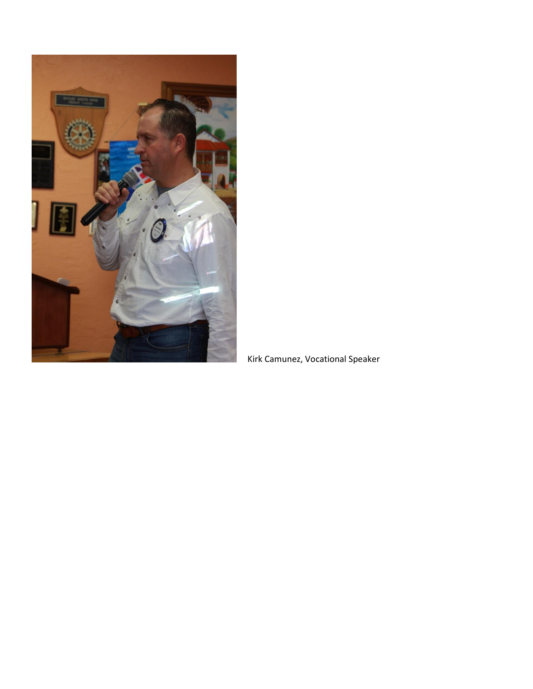

Kirk Camunez, Vocational Speaker